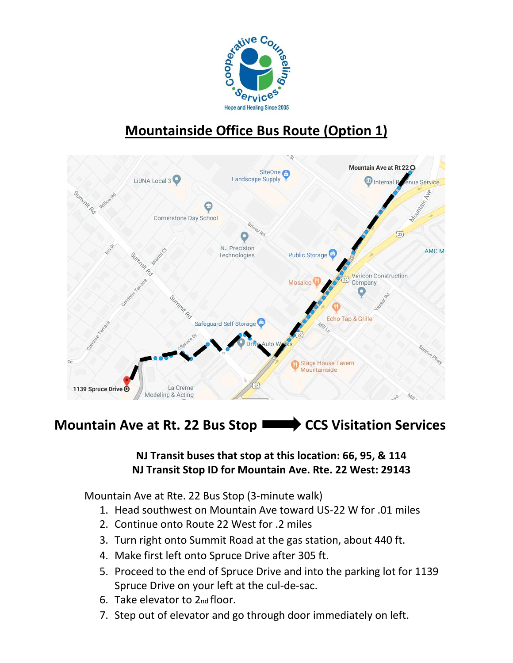

# **Mountainside Office Bus Route (Option 1)**



# **Mountain Ave at Rt. 22 Bus Stop <b>CCS** Visitation Services

#### **NJ Transit buses that stop at this location: 66, 95, & 114 NJ Transit Stop ID for Mountain Ave. Rte. 22 West: 29143**

Mountain Ave at Rte. 22 Bus Stop (3-minute walk)

- 1. Head southwest on Mountain Ave toward US-22 W for .01 miles
- 2. Continue onto Route 22 West for .2 miles
- 3. Turn right onto Summit Road at the gas station, about 440 ft.
- 4. Make first left onto Spruce Drive after 305 ft.
- 5. Proceed to the end of Spruce Drive and into the parking lot for 1139 Spruce Drive on your left at the cul-de-sac.
- 6. Take elevator to 2nd floor.
- 7. Step out of elevator and go through door immediately on left.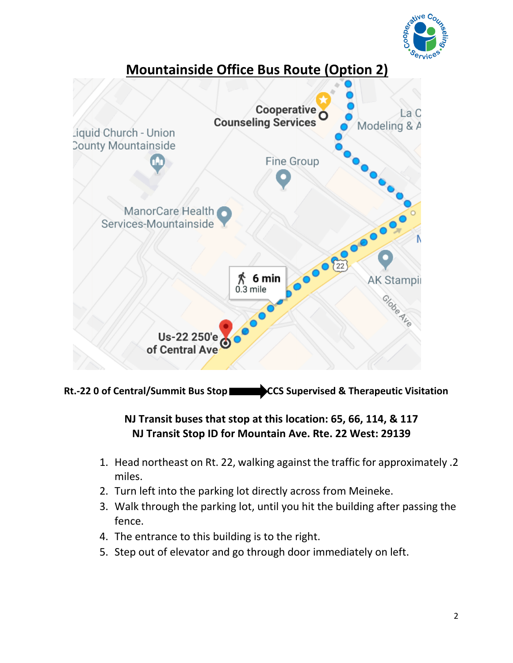



Rt.-22 0 of Central/Summit Bus Stop **CCS** Supervised & Therapeutic Visitation

## **NJ Transit buses that stop at this location: 65, 66, 114, & 117 NJ Transit Stop ID for Mountain Ave. Rte. 22 West: 29139**

- 1. Head northeast on Rt. 22, walking against the traffic for approximately .2 miles.
- 2. Turn left into the parking lot directly across from Meineke.
- 3. Walk through the parking lot, until you hit the building after passing the fence.
- 4. The entrance to this building is to the right.
- 5. Step out of elevator and go through door immediately on left.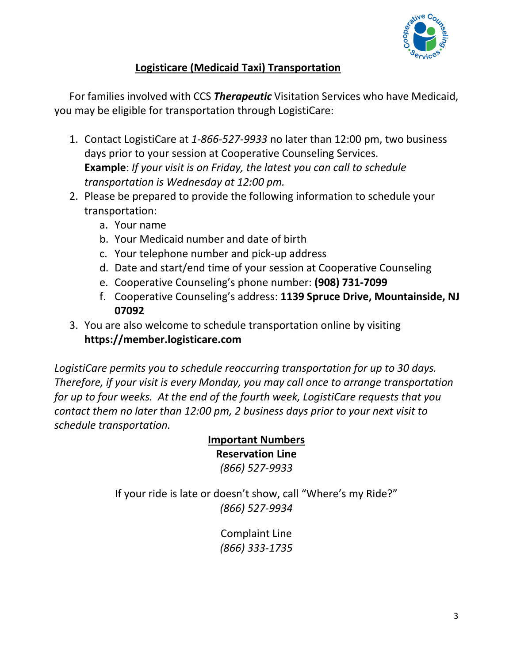

#### **Logisticare (Medicaid Taxi) Transportation**

For families involved with CCS *Therapeutic* Visitation Services who have Medicaid, you may be eligible for transportation through LogistiCare:

- 1. Contact LogistiCare at *1-866-527-9933* no later than 12:00 pm, two business days prior to your session at Cooperative Counseling Services. **Example**: *If your visit is on Friday, the latest you can call to schedule transportation is Wednesday at 12:00 pm.*
- 2. Please be prepared to provide the following information to schedule your transportation:
	- a. Your name
	- b. Your Medicaid number and date of birth
	- c. Your telephone number and pick-up address
	- d. Date and start/end time of your session at Cooperative Counseling
	- e. Cooperative Counseling's phone number: **(908) 731-7099**
	- f. Cooperative Counseling's address: **1139 Spruce Drive, Mountainside, NJ 07092**
- 3. You are also welcome to schedule transportation online by visiting **https://member.logisticare.com**

*LogistiCare permits you to schedule reoccurring transportation for up to 30 days. Therefore, if your visit is every Monday, you may call once to arrange transportation for up to four weeks. At the end of the fourth week, LogistiCare requests that you contact them no later than 12:00 pm, 2 business days prior to your next visit to schedule transportation.*

#### **Important Numbers Reservation Line** *(866) 527-9933*

If your ride is late or doesn't show, call "Where's my Ride?" *(866) 527-9934*

> Complaint Line *(866) 333-1735*